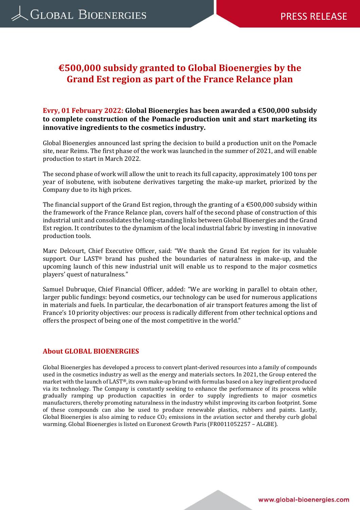# **€500,000 subsidy granted to Global Bioenergies by the Grand Est region as part of the France Relance plan**

### **Evry, 01 February 2022: Global Bioenergies has been awarded a €500,000 subsidy to complete construction of the Pomacle production unit and start marketing its innovative ingredients to the cosmetics industry.**

Global Bioenergies announced last spring the decision to build a production unit on the Pomacle site, near Reims. The first phase of the work was launched in the summer of 2021, and will enable production to start in March 2022.

The second phase of work will allow the unit to reach its full capacity, approximately 100 tons per year of isobutene, with isobutene derivatives targeting the make-up market, priorized by the Company due to its high prices.

The financial support of the Grand Est region, through the granting of a  $\epsilon$ 500,000 subsidy within the framework of the France Relance plan, covers half of the second phase of construction of this industrial unit and consolidates the long-standing links between Global Bioenergies and the Grand Est region. It contributes to the dynamism of the local industrial fabric by investing in innovative production tools.

Marc Delcourt, Chief Executive Officer, said: "We thank the Grand Est region for its valuable support. Our LAST® brand has pushed the boundaries of naturalness in make-up, and the upcoming launch of this new industrial unit will enable us to respond to the major cosmetics players' quest of naturalness."

Samuel Dubruque, Chief Financial Officer, added: "We are working in parallel to obtain other, larger public fundings: beyond cosmetics, our technology can be used for numerous applications in materials and fuels. In particular, the decarbonation of air transport features among the list of France's 10 priority objectives: our process is radically different from other technical options and offers the prospect of being one of the most competitive in the world."

#### **About GLOBAL BIOENERGIES**

Global Bioenergies has developed a process to convert plant-derived resources into a family of compounds used in the cosmetics industry as well as the energy and materials sectors. In 2021, the Group entered the market with the launch of LAST®, its own make-up brand with formulas based on a key ingredient produced via its technology. The Company is constantly seeking to enhance the performance of its process while gradually ramping up production capacities in order to supply ingredients to major cosmetics manufacturers, thereby promoting naturalness in the industry whilst improving its carbon footprint. Some of these compounds can also be used to produce renewable plastics, rubbers and paints. Lastly, Global Bioenergies is also aiming to reduce CO<sub>2</sub> emissions in the aviation sector and thereby curb global warming. Global Bioenergies is listed on Euronext Growth Paris (FR0011052257 – ALGBE).